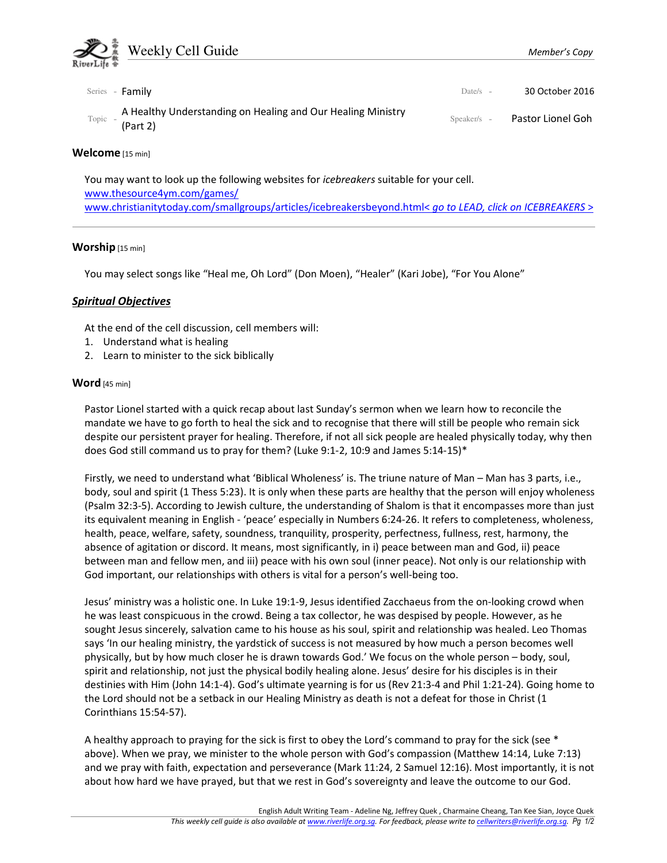

# Welcome [15 min]

You may want to look up the following websites for icebreakers suitable for your cell. www.thesource4ym.com/games/ www.christianitytoday.com/smallgroups/articles/icebreakersbeyond.html< go to LEAD, click on ICEBREAKERS >

# Worship [15 min]

You may select songs like "Heal me, Oh Lord" (Don Moen), "Healer" (Kari Jobe), "For You Alone"

# Spiritual Objectives

At the end of the cell discussion, cell members will:

- 1. Understand what is healing
- 2. Learn to minister to the sick biblically

## Word [45 min]

Pastor Lionel started with a quick recap about last Sunday's sermon when we learn how to reconcile the mandate we have to go forth to heal the sick and to recognise that there will still be people who remain sick despite our persistent prayer for healing. Therefore, if not all sick people are healed physically today, why then does God still command us to pray for them? (Luke 9:1-2, 10:9 and James 5:14-15)\*

Firstly, we need to understand what 'Biblical Wholeness' is. The triune nature of Man – Man has 3 parts, i.e., body, soul and spirit (1 Thess 5:23). It is only when these parts are healthy that the person will enjoy wholeness (Psalm 32:3-5). According to Jewish culture, the understanding of Shalom is that it encompasses more than just its equivalent meaning in English - 'peace' especially in Numbers 6:24-26. It refers to completeness, wholeness, health, peace, welfare, safety, soundness, tranquility, prosperity, perfectness, fullness, rest, harmony, the absence of agitation or discord. It means, most significantly, in i) peace between man and God, ii) peace between man and fellow men, and iii) peace with his own soul (inner peace). Not only is our relationship with God important, our relationships with others is vital for a person's well-being too.

Jesus' ministry was a holistic one. In Luke 19:1-9, Jesus identified Zacchaeus from the on-looking crowd when he was least conspicuous in the crowd. Being a tax collector, he was despised by people. However, as he sought Jesus sincerely, salvation came to his house as his soul, spirit and relationship was healed. Leo Thomas says 'In our healing ministry, the yardstick of success is not measured by how much a person becomes well physically, but by how much closer he is drawn towards God.' We focus on the whole person – body, soul, spirit and relationship, not just the physical bodily healing alone. Jesus' desire for his disciples is in their destinies with Him (John 14:1-4). God's ultimate yearning is for us (Rev 21:3-4 and Phil 1:21-24). Going home to the Lord should not be a setback in our Healing Ministry as death is not a defeat for those in Christ (1 Corinthians 15:54-57).

A healthy approach to praying for the sick is first to obey the Lord's command to pray for the sick (see \* above). When we pray, we minister to the whole person with God's compassion (Matthew 14:14, Luke 7:13) and we pray with faith, expectation and perseverance (Mark 11:24, 2 Samuel 12:16). Most importantly, it is not about how hard we have prayed, but that we rest in God's sovereignty and leave the outcome to our God.